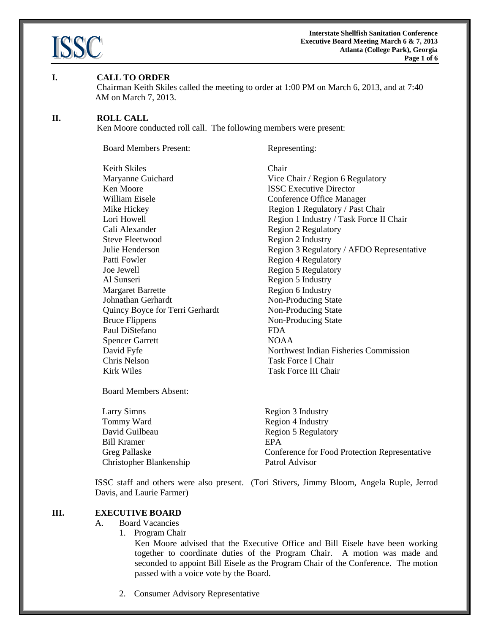

#### **I. CALL TO ORDER**

Chairman Keith Skiles called the meeting to order at 1:00 PM on March 6, 2013, and at 7:40 AM on March 7, 2013.

#### **II. ROLL CALL**

Ken Moore conducted roll call. The following members were present:

Board Members Present: Representing:

Keith Skiles<br>
Maryanne Guichard<br>
Vice ( Ken Moore **ISSC** Executive Director William Eisele **Conference Office Manager** Cali Alexander Region 2 Regulatory Steve Fleetwood Region 2 Industry Patti Fowler Region 4 Regulatory Joe Jewell Region 5 Regulatory Al Sunseri Region 5 Industry Margaret Barrette Region 6 Industry Johnathan Gerhardt Non-Producing State Quincy Boyce for Terri Gerhardt Non-Producing State Bruce Flippens Non-Producing State Paul DiStefano FDA Spencer Garrett NOAA Chris Nelson Task Force I Chair Kirk Wiles Task Force III Chair

Board Members Absent:

Larry Simns Region 3 Industry Tommy Ward Region 4 Industry David Guilbeau Region 5 Regulatory Bill Kramer **EPA** Christopher Blankenship Patrol Advisor

Vice Chair / Region 6 Regulatory Mike Hickey **Region 1 Regulatory / Past Chair** Lori Howell Region 1 Industry / Task Force II Chair Julie Henderson Region 3 Regulatory / AFDO Representative David Fyfe Northwest Indian Fisheries Commission

Greg Pallaske **Conference for Food Protection Representative** 

ISSC staff and others were also present. (Tori Stivers, Jimmy Bloom, Angela Ruple, Jerrod Davis, and Laurie Farmer)

## **III. EXECUTIVE BOARD**

#### A. Board Vacancies

1. Program Chair

Ken Moore advised that the Executive Office and Bill Eisele have been working together to coordinate duties of the Program Chair. A motion was made and seconded to appoint Bill Eisele as the Program Chair of the Conference. The motion passed with a voice vote by the Board.

2. Consumer Advisory Representative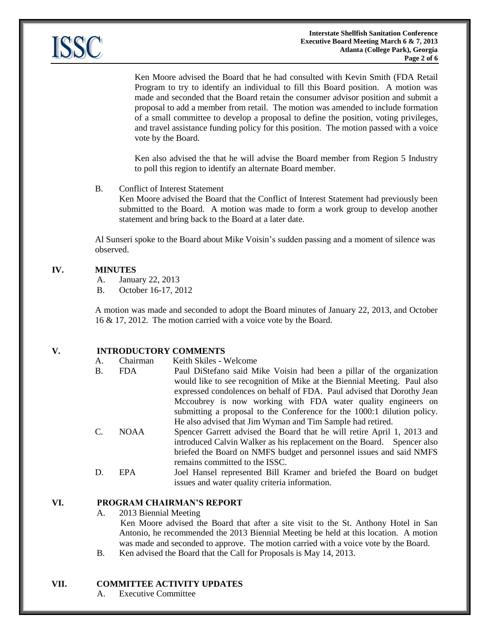

Ken Moore advised the Board that he had consulted with Kevin Smith (FDA Retail Program to try to identify an individual to fill this Board position. A motion was made and seconded that the Board retain the consumer advisor position and submit a proposal to add a member from retail. The motion was amended to include formation of a small committee to develop a proposal to define the position, voting privileges, and travel assistance funding policy for this position. The motion passed with a voice vote by the Board.

Ken also advised the that he will advise the Board member from Region 5 Industry to poll this region to identify an alternate Board member.

## B. Conflict of Interest Statement

Ken Moore advised the Board that the Conflict of Interest Statement had previously been submitted to the Board. A motion was made to form a work group to develop another statement and bring back to the Board at a later date.

Al Sunseri spoke to the Board about Mike Voisin's sudden passing and a moment of silence was observed.

# **IV. MINUTES**

- A. January 22, 2013
- B. October 16-17, 2012

A motion was made and seconded to adopt the Board minutes of January 22, 2013, and October 16 & 17, 2012. The motion carried with a voice vote by the Board.

## **V. INTRODUCTORY COMMENTS**

| A. | Chairman    | Keith Skiles - Welcome                                                   |
|----|-------------|--------------------------------------------------------------------------|
| B. | <b>FDA</b>  | Paul DiStefano said Mike Voisin had been a pillar of the organization    |
|    |             | would like to see recognition of Mike at the Biennial Meeting. Paul also |
|    |             | expressed condolences on behalf of FDA. Paul advised that Dorothy Jean   |
|    |             | Mccoubrey is now working with FDA water quality engineers on             |
|    |             | submitting a proposal to the Conference for the 1000:1 dilution policy.  |
|    |             | He also advised that Jim Wyman and Tim Sample had retired.               |
| C. | <b>NOAA</b> | Spencer Garrett advised the Board that he will retire April 1, 2013 and  |
|    |             | introduced Calvin Walker as his replacement on the Board. Spencer also   |
|    |             | briefed the Board on NMFS budget and personnel issues and said NMFS      |
|    |             | remains committed to the ISSC.                                           |
| D. | EPA.        | Joel Hansel represented Bill Kramer and briefed the Board on budget      |
|    |             | issues and water quality criteria information.                           |

#### **VI. PROGRAM CHAIRMAN'S REPORT**

A. 2013 Biennial Meeting

Ken Moore advised the Board that after a site visit to the St. Anthony Hotel in San Antonio, he recommended the 2013 Biennial Meeting be held at this location. A motion was made and seconded to approve. The motion carried with a voice vote by the Board.

B. Ken advised the Board that the Call for Proposals is May 14, 2013.

#### **VII. COMMITTEE ACTIVITY UPDATES**

A. Executive Committee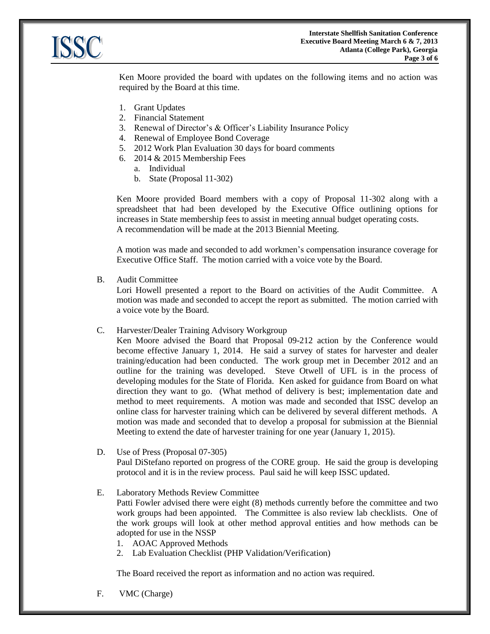

Ken Moore provided the board with updates on the following items and no action was required by the Board at this time.

- 1. Grant Updates
- 2. Financial Statement
- 3. Renewal of Director's & Officer's Liability Insurance Policy
- 4. Renewal of Employee Bond Coverage
- 5. 2012 Work Plan Evaluation 30 days for board comments
- 6. 2014 & 2015 Membership Fees
	- a. Individual
	- b. State (Proposal 11-302)

Ken Moore provided Board members with a copy of Proposal 11-302 along with a spreadsheet that had been developed by the Executive Office outlining options for increases in State membership fees to assist in meeting annual budget operating costs. A recommendation will be made at the 2013 Biennial Meeting.

A motion was made and seconded to add workmen's compensation insurance coverage for Executive Office Staff. The motion carried with a voice vote by the Board.

B. Audit Committee

Lori Howell presented a report to the Board on activities of the Audit Committee. A motion was made and seconded to accept the report as submitted. The motion carried with a voice vote by the Board.

C. Harvester/Dealer Training Advisory Workgroup

Ken Moore advised the Board that Proposal 09-212 action by the Conference would become effective January 1, 2014. He said a survey of states for harvester and dealer training/education had been conducted. The work group met in December 2012 and an outline for the training was developed. Steve Otwell of UFL is in the process of developing modules for the State of Florida. Ken asked for guidance from Board on what direction they want to go. (What method of delivery is best; implementation date and method to meet requirements. A motion was made and seconded that ISSC develop an online class for harvester training which can be delivered by several different methods. A motion was made and seconded that to develop a proposal for submission at the Biennial Meeting to extend the date of harvester training for one year (January 1, 2015).

- D. Use of Press (Proposal 07-305) Paul DiStefano reported on progress of the CORE group. He said the group is developing protocol and it is in the review process. Paul said he will keep ISSC updated.
- E. Laboratory Methods Review Committee

Patti Fowler advised there were eight (8) methods currently before the committee and two work groups had been appointed. The Committee is also review lab checklists. One of the work groups will look at other method approval entities and how methods can be adopted for use in the NSSP

- 1. AOAC Approved Methods
- 2. Lab Evaluation Checklist (PHP Validation/Verification)

The Board received the report as information and no action was required.

F. VMC (Charge)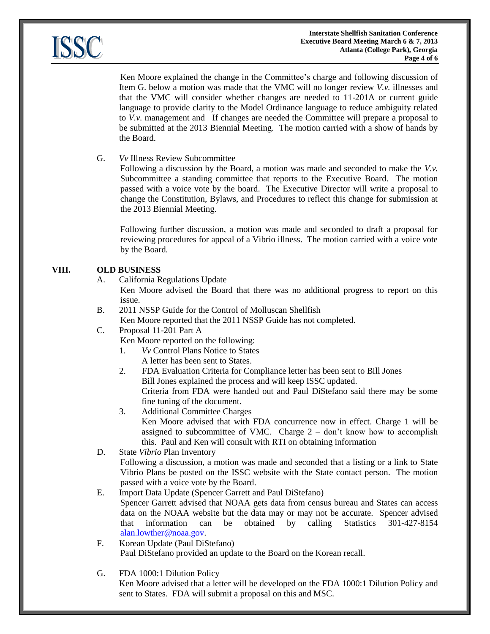

Ken Moore explained the change in the Committee's charge and following discussion of Item G. below a motion was made that the VMC will no longer review *V.v.* illnesses and that the VMC will consider whether changes are needed to 11-201A or current guide language to provide clarity to the Model Ordinance language to reduce ambiguity related to *V.v.* management and If changes are needed the Committee will prepare a proposal to be submitted at the 2013 Biennial Meeting. The motion carried with a show of hands by the Board.

G. *Vv* Illness Review Subcommittee

Following a discussion by the Board, a motion was made and seconded to make the *V.v.* Subcommittee a standing committee that reports to the Executive Board. The motion passed with a voice vote by the board. The Executive Director will write a proposal to change the Constitution, Bylaws, and Procedures to reflect this change for submission at the 2013 Biennial Meeting.

Following further discussion, a motion was made and seconded to draft a proposal for reviewing procedures for appeal of a Vibrio illness. The motion carried with a voice vote by the Board.

# **VIII. OLD BUSINESS**

A. California Regulations Update

Ken Moore advised the Board that there was no additional progress to report on this issue.

- B. 2011 NSSP Guide for the Control of Molluscan Shellfish Ken Moore reported that the 2011 NSSP Guide has not completed.
- C. Proposal 11-201 Part A
	- Ken Moore reported on the following:
		- 1. *Vv* Control Plans Notice to States
			- A letter has been sent to States.
		- 2. FDA Evaluation Criteria for Compliance letter has been sent to Bill Jones Bill Jones explained the process and will keep ISSC updated. Criteria from FDA were handed out and Paul DiStefano said there may be some fine tuning of the document.
		- 3. Additional Committee Charges

Ken Moore advised that with FDA concurrence now in effect. Charge 1 will be assigned to subcommittee of VMC. Charge  $2 -$  don't know how to accomplish this. Paul and Ken will consult with RTI on obtaining information

D. State *Vibrio* Plan Inventory

Following a discussion, a motion was made and seconded that a listing or a link to State Vibrio Plans be posted on the ISSC website with the State contact person. The motion passed with a voice vote by the Board.

E. Import Data Update (Spencer Garrett and Paul DiStefano)

Spencer Garrett advised that NOAA gets data from census bureau and States can access data on the NOAA website but the data may or may not be accurate. Spencer advised that information can be obtained by calling Statistics 301-427-8154 [alan.lowther@noaa.gov.](mailto:alan.lowther@noaa.gov)

- F. Korean Update (Paul DiStefano) Paul DiStefano provided an update to the Board on the Korean recall.
- G. FDA 1000:1 Dilution Policy

Ken Moore advised that a letter will be developed on the FDA 1000:1 Dilution Policy and sent to States. FDA will submit a proposal on this and MSC.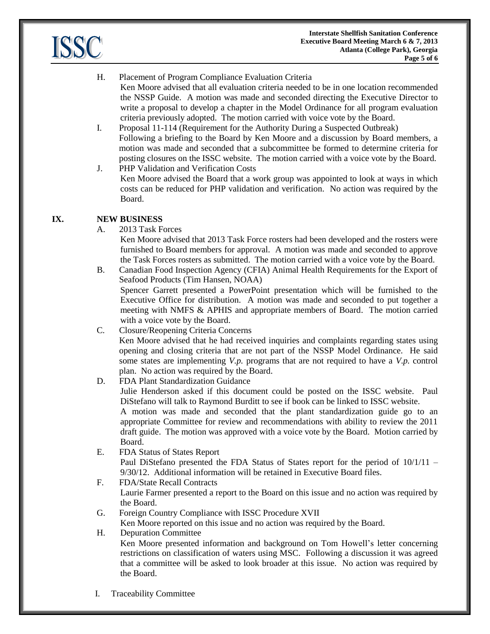

# H. Placement of Program Compliance Evaluation Criteria

- Ken Moore advised that all evaluation criteria needed to be in one location recommended the NSSP Guide. A motion was made and seconded directing the Executive Director to write a proposal to develop a chapter in the Model Ordinance for all program evaluation criteria previously adopted. The motion carried with voice vote by the Board.
- I. Proposal 11-114 (Requirement for the Authority During a Suspected Outbreak) Following a briefing to the Board by Ken Moore and a discussion by Board members, a motion was made and seconded that a subcommittee be formed to determine criteria for posting closures on the ISSC website. The motion carried with a voice vote by the Board.
- J. PHP Validation and Verification Costs Ken Moore advised the Board that a work group was appointed to look at ways in which costs can be reduced for PHP validation and verification. No action was required by the Board.

# **IX. NEW BUSINESS**

A. 2013 Task Forces

Ken Moore advised that 2013 Task Force rosters had been developed and the rosters were furnished to Board members for approval. A motion was made and seconded to approve the Task Forces rosters as submitted. The motion carried with a voice vote by the Board.

- B. Canadian Food Inspection Agency (CFIA) Animal Health Requirements for the Export of Seafood Products (Tim Hansen, NOAA) Spencer Garrett presented a PowerPoint presentation which will be furnished to the Executive Office for distribution. A motion was made and seconded to put together a meeting with NMFS & APHIS and appropriate members of Board. The motion carried with a voice vote by the Board.
- C. Closure/Reopening Criteria Concerns Ken Moore advised that he had received inquiries and complaints regarding states using opening and closing criteria that are not part of the NSSP Model Ordinance. He said some states are implementing *V.p.* programs that are not required to have a *V.p.* control plan. No action was required by the Board.
- D. FDA Plant Standardization Guidance

Julie Henderson asked if this document could be posted on the ISSC website. Paul DiStefano will talk to Raymond Burditt to see if book can be linked to ISSC website.

A motion was made and seconded that the plant standardization guide go to an appropriate Committee for review and recommendations with ability to review the 2011 draft guide. The motion was approved with a voice vote by the Board. Motion carried by Board.

E. FDA Status of States Report

Paul DiStefano presented the FDA Status of States report for the period of 10/1/11 – 9/30/12. Additional information will be retained in Executive Board files.

- F. FDA/State Recall Contracts Laurie Farmer presented a report to the Board on this issue and no action was required by the Board.
- G. Foreign Country Compliance with ISSC Procedure XVII

Ken Moore reported on this issue and no action was required by the Board.

H. Depuration Committee

Ken Moore presented information and background on Tom Howell's letter concerning restrictions on classification of waters using MSC. Following a discussion it was agreed that a committee will be asked to look broader at this issue. No action was required by the Board.

I. Traceability Committee